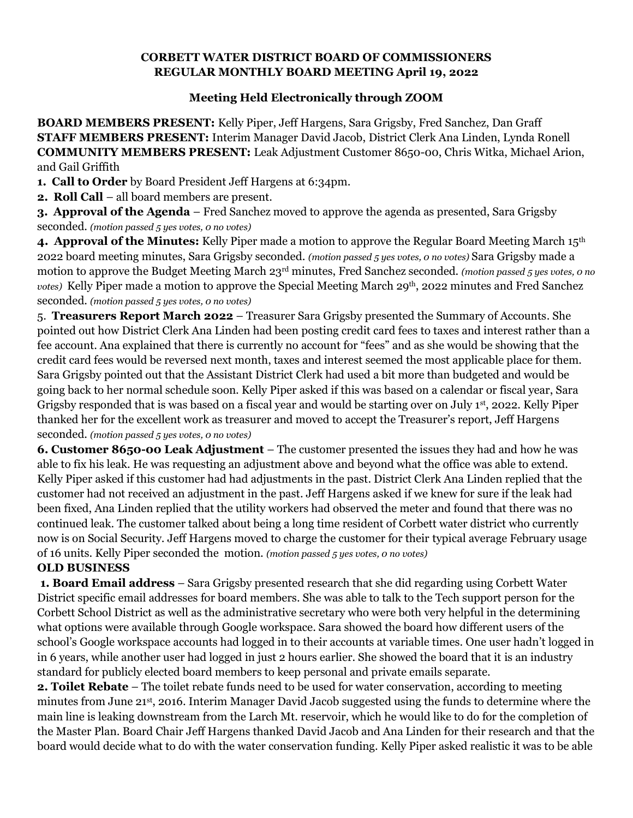## **CORBETT WATER DISTRICT BOARD OF COMMISSIONERS REGULAR MONTHLY BOARD MEETING April 19, 2022**

## **Meeting Held Electronically through ZOOM**

**BOARD MEMBERS PRESENT:** Kelly Piper, Jeff Hargens, Sara Grigsby, Fred Sanchez, Dan Graff **STAFF MEMBERS PRESENT:** Interim Manager David Jacob, District Clerk Ana Linden, Lynda Ronell **COMMUNITY MEMBERS PRESENT:** Leak Adjustment Customer 8650-00, Chris Witka, Michael Arion, and Gail Griffith

**1. Call to Order** by Board President Jeff Hargens at 6:34pm.

**2. Roll Call** – all board members are present.

**3. Approval of the Agenda** – Fred Sanchez moved to approve the agenda as presented, Sara Grigsby seconded. *(motion passed 5 yes votes, 0 no votes)*

**4. Approval of the Minutes:** Kelly Piper made a motion to approve the Regular Board Meeting March 15th 2022 board meeting minutes, Sara Grigsby seconded. *(motion passed 5 yes votes, 0 no votes)* Sara Grigsby made a motion to approve the Budget Meeting March 23rd minutes, Fred Sanchez seconded. *(motion passed 5 yes votes, 0 no votes*) Kelly Piper made a motion to approve the Special Meeting March 29<sup>th</sup>, 2022 minutes and Fred Sanchez seconded. *(motion passed 5 yes votes, 0 no votes)*

5. **Treasurers Report March 2022** – Treasurer Sara Grigsby presented the Summary of Accounts. She pointed out how District Clerk Ana Linden had been posting credit card fees to taxes and interest rather than a fee account. Ana explained that there is currently no account for "fees" and as she would be showing that the credit card fees would be reversed next month, taxes and interest seemed the most applicable place for them. Sara Grigsby pointed out that the Assistant District Clerk had used a bit more than budgeted and would be going back to her normal schedule soon. Kelly Piper asked if this was based on a calendar or fiscal year, Sara Grigsby responded that is was based on a fiscal year and would be starting over on July 1st, 2022. Kelly Piper thanked her for the excellent work as treasurer and moved to accept the Treasurer's report, Jeff Hargens seconded. *(motion passed 5 yes votes, 0 no votes)*

**6. Customer 8650-00 Leak Adjustment** – The customer presented the issues they had and how he was able to fix his leak. He was requesting an adjustment above and beyond what the office was able to extend. Kelly Piper asked if this customer had had adjustments in the past. District Clerk Ana Linden replied that the customer had not received an adjustment in the past. Jeff Hargens asked if we knew for sure if the leak had been fixed, Ana Linden replied that the utility workers had observed the meter and found that there was no continued leak. The customer talked about being a long time resident of Corbett water district who currently now is on Social Security. Jeff Hargens moved to charge the customer for their typical average February usage of 16 units. Kelly Piper seconded the motion. *(motion passed 5 yes votes, 0 no votes)*

## **OLD BUSINESS**

**1. Board Email address** – Sara Grigsby presented research that she did regarding using Corbett Water District specific email addresses for board members. She was able to talk to the Tech support person for the Corbett School District as well as the administrative secretary who were both very helpful in the determining what options were available through Google workspace. Sara showed the board how different users of the school's Google workspace accounts had logged in to their accounts at variable times. One user hadn't logged in in 6 years, while another user had logged in just 2 hours earlier. She showed the board that it is an industry standard for publicly elected board members to keep personal and private emails separate.

**2. Toilet Rebate** – The toilet rebate funds need to be used for water conservation, according to meeting minutes from June 21st, 2016. Interim Manager David Jacob suggested using the funds to determine where the main line is leaking downstream from the Larch Mt. reservoir, which he would like to do for the completion of the Master Plan. Board Chair Jeff Hargens thanked David Jacob and Ana Linden for their research and that the board would decide what to do with the water conservation funding. Kelly Piper asked realistic it was to be able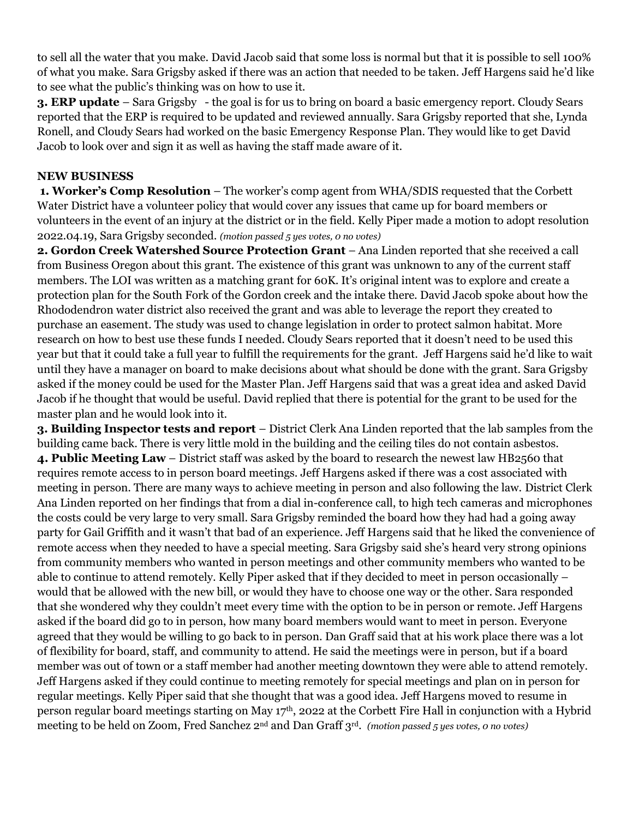to sell all the water that you make. David Jacob said that some loss is normal but that it is possible to sell 100% of what you make. Sara Grigsby asked if there was an action that needed to be taken. Jeff Hargens said he'd like to see what the public's thinking was on how to use it.

**3. ERP update** – Sara Grigsby - the goal is for us to bring on board a basic emergency report. Cloudy Sears reported that the ERP is required to be updated and reviewed annually. Sara Grigsby reported that she, Lynda Ronell, and Cloudy Sears had worked on the basic Emergency Response Plan. They would like to get David Jacob to look over and sign it as well as having the staff made aware of it.

## **NEW BUSINESS**

**1. Worker's Comp Resolution** – The worker's comp agent from WHA/SDIS requested that the Corbett Water District have a volunteer policy that would cover any issues that came up for board members or volunteers in the event of an injury at the district or in the field. Kelly Piper made a motion to adopt resolution 2022.04.19, Sara Grigsby seconded. *(motion passed 5 yes votes, 0 no votes)*

**2. Gordon Creek Watershed Source Protection Grant** – Ana Linden reported that she received a call from Business Oregon about this grant. The existence of this grant was unknown to any of the current staff members. The LOI was written as a matching grant for 60K. It's original intent was to explore and create a protection plan for the South Fork of the Gordon creek and the intake there. David Jacob spoke about how the Rhododendron water district also received the grant and was able to leverage the report they created to purchase an easement. The study was used to change legislation in order to protect salmon habitat. More research on how to best use these funds I needed. Cloudy Sears reported that it doesn't need to be used this year but that it could take a full year to fulfill the requirements for the grant. Jeff Hargens said he'd like to wait until they have a manager on board to make decisions about what should be done with the grant. Sara Grigsby asked if the money could be used for the Master Plan. Jeff Hargens said that was a great idea and asked David Jacob if he thought that would be useful. David replied that there is potential for the grant to be used for the master plan and he would look into it.

**3. Building Inspector tests and report** – District Clerk Ana Linden reported that the lab samples from the building came back. There is very little mold in the building and the ceiling tiles do not contain asbestos. **4. Public Meeting Law** – District staff was asked by the board to research the newest law HB2560 that requires remote access to in person board meetings. Jeff Hargens asked if there was a cost associated with meeting in person. There are many ways to achieve meeting in person and also following the law. District Clerk Ana Linden reported on her findings that from a dial in-conference call, to high tech cameras and microphones the costs could be very large to very small. Sara Grigsby reminded the board how they had had a going away party for Gail Griffith and it wasn't that bad of an experience. Jeff Hargens said that he liked the convenience of remote access when they needed to have a special meeting. Sara Grigsby said she's heard very strong opinions from community members who wanted in person meetings and other community members who wanted to be able to continue to attend remotely. Kelly Piper asked that if they decided to meet in person occasionally – would that be allowed with the new bill, or would they have to choose one way or the other. Sara responded that she wondered why they couldn't meet every time with the option to be in person or remote. Jeff Hargens asked if the board did go to in person, how many board members would want to meet in person. Everyone agreed that they would be willing to go back to in person. Dan Graff said that at his work place there was a lot of flexibility for board, staff, and community to attend. He said the meetings were in person, but if a board member was out of town or a staff member had another meeting downtown they were able to attend remotely. Jeff Hargens asked if they could continue to meeting remotely for special meetings and plan on in person for regular meetings. Kelly Piper said that she thought that was a good idea. Jeff Hargens moved to resume in person regular board meetings starting on May 17th, 2022 at the Corbett Fire Hall in conjunction with a Hybrid meeting to be held on Zoom, Fred Sanchez 2nd and Dan Graff 3rd . *(motion passed 5 yes votes, 0 no votes)*